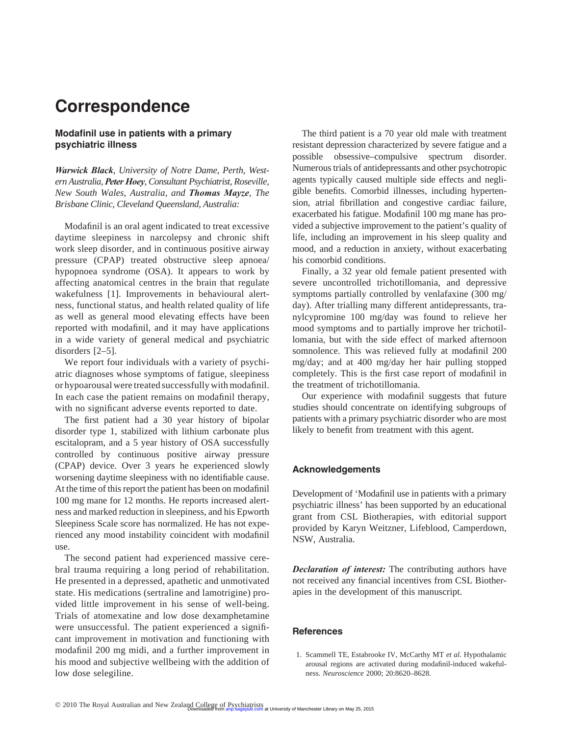## **Correspondence**

## **Modafinil use in patients with a primary psychiatric illness**

Warwick Black, University of Notre Dame, Perth, West*ern Australia, Peter Hoey , Consultant Psychiatrist, Roseville, New South Wales, Australia, and Thomas Mayze , The Brisbane Clinic, Cleveland Queensland, Australia:* 

Modafinil is an oral agent indicated to treat excessive daytime sleepiness in narcolepsy and chronic shift work sleep disorder, and in continuous positive airway pressure (CPAP) treated obstructive sleep apnoea/ hypopnoea syndrome (OSA). It appears to work by affecting anatomical centres in the brain that regulate wakefulness [1]. Improvements in behavioural alertness, functional status, and health related quality of life as well as general mood elevating effects have been reported with modafinil, and it may have applications in a wide variety of general medical and psychiatric disorders  $[2-5]$ .

 We report four individuals with a variety of psychiatric diagnoses whose symptoms of fatigue, sleepiness or hypoarousal were treated successfully with modafinil. In each case the patient remains on modafinil therapy, with no significant adverse events reported to date.

The first patient had a 30 year history of bipolar disorder type 1, stabilized with lithium carbonate plus escitalopram, and a 5 year history of OSA successfully controlled by continuous positive airway pressure (CPAP) device. Over 3 years he experienced slowly worsening daytime sleepiness with no identifiable cause. At the time of this report the patient has been on modafinil 100 mg mane for 12 months. He reports increased alertness and marked reduction in sleepiness, and his Epworth Sleepiness Scale score has normalized. He has not experienced any mood instability coincident with modafinil use.

 The second patient had experienced massive cerebral trauma requiring a long period of rehabilitation. He presented in a depressed, apathetic and unmotivated state. His medications (sertraline and lamotrigine) provided little improvement in his sense of well-being. Trials of atomexatine and low dose dexamphetamine were unsuccessful. The patient experienced a significant improvement in motivation and functioning with modafinil 200 mg midi, and a further improvement in his mood and subjective wellbeing with the addition of low dose selegiline.

 The third patient is a 70 year old male with treatment resistant depression characterized by severe fatigue and a possible obsessive-compulsive spectrum disorder. Numerous trials of antidepressants and other psychotropic agents typically caused multiple side effects and negligible benefits. Comorbid illnesses, including hypertension, atrial fibrillation and congestive cardiac failure, exacerbated his fatigue. Modafinil 100 mg mane has provided a subjective improvement to the patient's quality of life, including an improvement in his sleep quality and mood, and a reduction in anxiety, without exacerbating his comorbid conditions.

 Finally, a 32 year old female patient presented with severe uncontrolled trichotillomania, and depressive symptoms partially controlled by venlafaxine (300 mg/ day). After trialling many different antidepressants, tranylcypromine 100 mg/day was found to relieve her mood symptoms and to partially improve her trichotillomania, but with the side effect of marked afternoon somnolence. This was relieved fully at modafinil 200 mg/day; and at 400 mg/day her hair pulling stopped completely. This is the first case report of modafinil in the treatment of trichotillomania.

Our experience with modafinil suggests that future studies should concentrate on identifying subgroups of patients with a primary psychiatric disorder who are most likely to benefit from treatment with this agent.

## **Acknowledgements**

Development of 'Modafinil use in patients with a primary psychiatric illness' has been supported by an educational grant from CSL Biotherapies, with editorial support provided by Karyn Weitzner, Lifeblood, Camperdown, NSW, Australia.

*Declaration of interest:* The contributing authors have not received any financial incentives from CSL Biotherapies in the development of this manuscript.

## **References**

1. Scammell TE, Estabrooke IV, McCarthy MT *et al* . Hypothalamic arousal regions are activated during modafinil-induced wakefulness. *Neuroscience* 2000; 20:8620 – 8628.